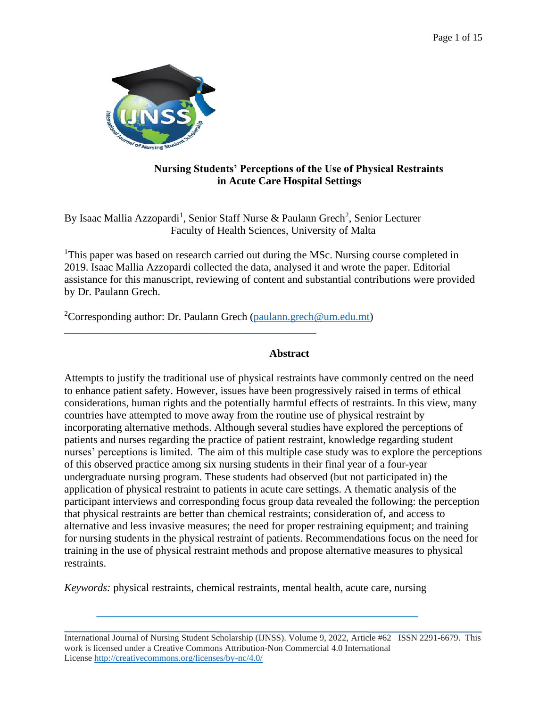

# **Nursing Students' Perceptions of the Use of Physical Restraints in Acute Care Hospital Settings**

By Isaac Mallia Azzopardi<sup>1</sup>, Senior Staff Nurse & Paulann Grech<sup>2</sup>, Senior Lecturer Faculty of Health Sciences, University of Malta

<sup>1</sup>This paper was based on research carried out during the MSc. Nursing course completed in 2019. Isaac Mallia Azzopardi collected the data, analysed it and wrote the paper. Editorial assistance for this manuscript, reviewing of content and substantial contributions were provided by Dr. Paulann Grech.

<sup>2</sup>Corresponding author: Dr. Paulann Grech [\(paulann.grech@um.edu.mt\)](mailto:paulann.grech@um.edu.mt)

 $\_$  , and the set of the set of the set of the set of the set of the set of the set of the set of the set of the set of the set of the set of the set of the set of the set of the set of the set of the set of the set of th

# **Abstract**

Attempts to justify the traditional use of physical restraints have commonly centred on the need to enhance patient safety. However, issues have been progressively raised in terms of ethical considerations, human rights and the potentially harmful effects of restraints. In this view, many countries have attempted to move away from the routine use of physical restraint by incorporating alternative methods. Although several studies have explored the perceptions of patients and nurses regarding the practice of patient restraint, knowledge regarding student nurses' perceptions is limited. The aim of this multiple case study was to explore the perceptions of this observed practice among six nursing students in their final year of a four-year undergraduate nursing program. These students had observed (but not participated in) the application of physical restraint to patients in acute care settings. A thematic analysis of the participant interviews and corresponding focus group data revealed the following: the perception that physical restraints are better than chemical restraints; consideration of, and access to alternative and less invasive measures; the need for proper restraining equipment; and training for nursing students in the physical restraint of patients. Recommendations focus on the need for training in the use of physical restraint methods and propose alternative measures to physical restraints.

*Keywords:* physical restraints, chemical restraints, mental health, acute care, nursing

**\_\_\_\_\_\_\_\_\_\_\_\_\_\_\_\_\_\_\_\_\_\_\_\_\_\_\_\_\_\_\_\_\_\_\_\_\_\_\_\_\_\_\_\_\_\_\_\_\_\_\_\_\_\_\_\_\_\_\_\_**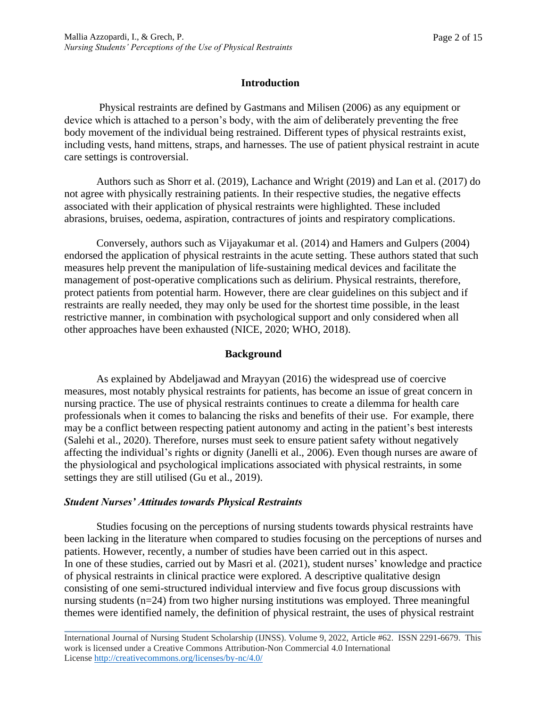### **Introduction**

Physical restraints are defined by Gastmans and Milisen (2006) as any equipment or device which is attached to a person's body, with the aim of deliberately preventing the free body movement of the individual being restrained. Different types of physical restraints exist, including vests, hand mittens, straps, and harnesses. The use of patient physical restraint in acute care settings is controversial.

Authors such as Shorr et al. (2019), Lachance and Wright (2019) and Lan et al. (2017) do not agree with physically restraining patients. In their respective studies, the negative effects associated with their application of physical restraints were highlighted. These included abrasions, bruises, oedema, aspiration, contractures of joints and respiratory complications.

Conversely, authors such as Vijayakumar et al. (2014) and Hamers and Gulpers (2004) endorsed the application of physical restraints in the acute setting. These authors stated that such measures help prevent the manipulation of life-sustaining medical devices and facilitate the management of post-operative complications such as delirium. Physical restraints, therefore, protect patients from potential harm. However, there are clear guidelines on this subject and if restraints are really needed, they may only be used for the shortest time possible, in the least restrictive manner, in combination with psychological support and only considered when all other approaches have been exhausted (NICE, 2020; WHO, 2018).

### **Background**

As explained by Abdeljawad and Mrayyan (2016) the widespread use of coercive measures, most notably physical restraints for patients, has become an issue of great concern in nursing practice. The use of physical restraints continues to create a dilemma for health care professionals when it comes to balancing the risks and benefits of their use. For example, there may be a conflict between respecting patient autonomy and acting in the patient's best interests (Salehi et al., 2020). Therefore, nurses must seek to ensure patient safety without negatively affecting the individual's rights or dignity (Janelli et al., 2006). Even though nurses are aware of the physiological and psychological implications associated with physical restraints, in some settings they are still utilised (Gu et al., 2019).

### *Student Nurses' Attitudes towards Physical Restraints*

Studies focusing on the perceptions of nursing students towards physical restraints have been lacking in the literature when compared to studies focusing on the perceptions of nurses and patients. However, recently, a number of studies have been carried out in this aspect. In one of these studies, carried out by Masri et al. (2021), student nurses' knowledge and practice of physical restraints in clinical practice were explored. A descriptive qualitative design consisting of one semi-structured individual interview and five focus group discussions with nursing students (n=24) from two higher nursing institutions was employed. Three meaningful themes were identified namely, the definition of physical restraint, the uses of physical restraint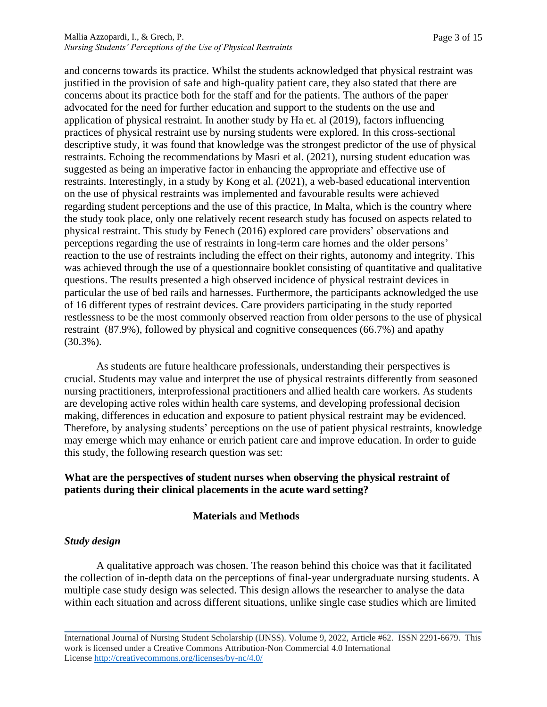#### Mallia Azzopardi, I., & Grech, P. *Nursing Students' Perceptions of the Use of Physical Restraints*

and concerns towards its practice. Whilst the students acknowledged that physical restraint was justified in the provision of safe and high-quality patient care, they also stated that there are concerns about its practice both for the staff and for the patients. The authors of the paper advocated for the need for further education and support to the students on the use and application of physical restraint. In another study by Ha et. al (2019), factors influencing practices of physical restraint use by nursing students were explored. In this cross-sectional descriptive study, it was found that knowledge was the strongest predictor of the use of physical restraints. Echoing the recommendations by Masri et al. (2021), nursing student education was suggested as being an imperative factor in enhancing the appropriate and effective use of restraints. Interestingly, in a study by Kong et al. (2021), a web-based educational intervention on the use of physical restraints was implemented and favourable results were achieved regarding student perceptions and the use of this practice, In Malta, which is the country where the study took place, only one relatively recent research study has focused on aspects related to physical restraint. This study by Fenech (2016) explored care providers' observations and perceptions regarding the use of restraints in long-term care homes and the older persons' reaction to the use of restraints including the effect on their rights, autonomy and integrity. This was achieved through the use of a questionnaire booklet consisting of quantitative and qualitative questions. The results presented a high observed incidence of physical restraint devices in particular the use of bed rails and harnesses. Furthermore, the participants acknowledged the use of 16 different types of restraint devices. Care providers participating in the study reported restlessness to be the most commonly observed reaction from older persons to the use of physical restraint (87.9%), followed by physical and cognitive consequences (66.7%) and apathy (30.3%).

As students are future healthcare professionals, understanding their perspectives is crucial. Students may value and interpret the use of physical restraints differently from seasoned nursing practitioners, interprofessional practitioners and allied health care workers. As students are developing active roles within health care systems, and developing professional decision making, differences in education and exposure to patient physical restraint may be evidenced. Therefore, by analysing students' perceptions on the use of patient physical restraints, knowledge may emerge which may enhance or enrich patient care and improve education. In order to guide this study, the following research question was set:

# **What are the perspectives of student nurses when observing the physical restraint of patients during their clinical placements in the acute ward setting?**

# **Materials and Methods**

# *Study design*

A qualitative approach was chosen. The reason behind this choice was that it facilitated the collection of in-depth data on the perceptions of final-year undergraduate nursing students. A multiple case study design was selected. This design allows the researcher to analyse the data within each situation and across different situations, unlike single case studies which are limited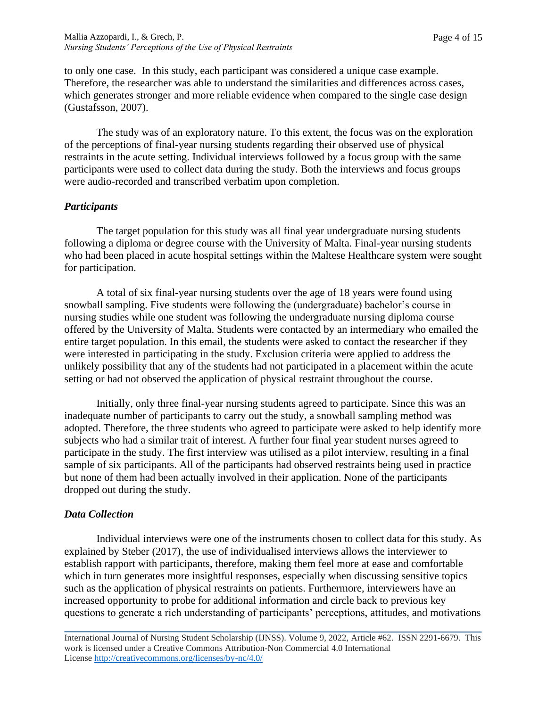to only one case. In this study, each participant was considered a unique case example. Therefore, the researcher was able to understand the similarities and differences across cases, which generates stronger and more reliable evidence when compared to the single case design (Gustafsson, 2007).

The study was of an exploratory nature. To this extent, the focus was on the exploration of the perceptions of final-year nursing students regarding their observed use of physical restraints in the acute setting. Individual interviews followed by a focus group with the same participants were used to collect data during the study. Both the interviews and focus groups were audio-recorded and transcribed verbatim upon completion.

### *Participants*

The target population for this study was all final year undergraduate nursing students following a diploma or degree course with the University of Malta. Final-year nursing students who had been placed in acute hospital settings within the Maltese Healthcare system were sought for participation.

A total of six final-year nursing students over the age of 18 years were found using snowball sampling. Five students were following the (undergraduate) bachelor's course in nursing studies while one student was following the undergraduate nursing diploma course offered by the University of Malta. Students were contacted by an intermediary who emailed the entire target population. In this email, the students were asked to contact the researcher if they were interested in participating in the study. Exclusion criteria were applied to address the unlikely possibility that any of the students had not participated in a placement within the acute setting or had not observed the application of physical restraint throughout the course.

Initially, only three final-year nursing students agreed to participate. Since this was an inadequate number of participants to carry out the study, a snowball sampling method was adopted. Therefore, the three students who agreed to participate were asked to help identify more subjects who had a similar trait of interest. A further four final year student nurses agreed to participate in the study. The first interview was utilised as a pilot interview, resulting in a final sample of six participants. All of the participants had observed restraints being used in practice but none of them had been actually involved in their application. None of the participants dropped out during the study.

# *Data Collection*

Individual interviews were one of the instruments chosen to collect data for this study. As explained by Steber (2017), the use of individualised interviews allows the interviewer to establish rapport with participants, therefore, making them feel more at ease and comfortable which in turn generates more insightful responses, especially when discussing sensitive topics such as the application of physical restraints on patients. Furthermore, interviewers have an increased opportunity to probe for additional information and circle back to previous key questions to generate a rich understanding of participants' perceptions, attitudes, and motivations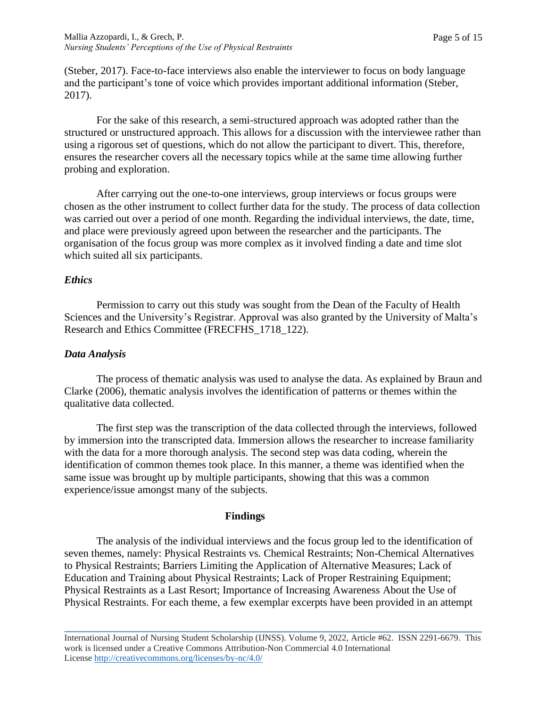(Steber, 2017). Face-to-face interviews also enable the interviewer to focus on body language and the participant's tone of voice which provides important additional information (Steber, 2017).

For the sake of this research, a semi-structured approach was adopted rather than the structured or unstructured approach. This allows for a discussion with the interviewee rather than using a rigorous set of questions, which do not allow the participant to divert. This, therefore, ensures the researcher covers all the necessary topics while at the same time allowing further probing and exploration.

After carrying out the one-to-one interviews, group interviews or focus groups were chosen as the other instrument to collect further data for the study. The process of data collection was carried out over a period of one month. Regarding the individual interviews, the date, time, and place were previously agreed upon between the researcher and the participants. The organisation of the focus group was more complex as it involved finding a date and time slot which suited all six participants.

# *Ethics*

Permission to carry out this study was sought from the Dean of the Faculty of Health Sciences and the University's Registrar. Approval was also granted by the University of Malta's Research and Ethics Committee (FRECFHS\_1718\_122).

# *Data Analysis*

The process of thematic analysis was used to analyse the data. As explained by Braun and Clarke (2006), thematic analysis involves the identification of patterns or themes within the qualitative data collected.

The first step was the transcription of the data collected through the interviews, followed by immersion into the transcripted data. Immersion allows the researcher to increase familiarity with the data for a more thorough analysis. The second step was data coding, wherein the identification of common themes took place. In this manner, a theme was identified when the same issue was brought up by multiple participants, showing that this was a common experience/issue amongst many of the subjects.

# **Findings**

The analysis of the individual interviews and the focus group led to the identification of seven themes, namely: Physical Restraints vs. Chemical Restraints; Non-Chemical Alternatives to Physical Restraints; Barriers Limiting the Application of Alternative Measures; Lack of Education and Training about Physical Restraints; Lack of Proper Restraining Equipment; Physical Restraints as a Last Resort; Importance of Increasing Awareness About the Use of Physical Restraints. For each theme, a few exemplar excerpts have been provided in an attempt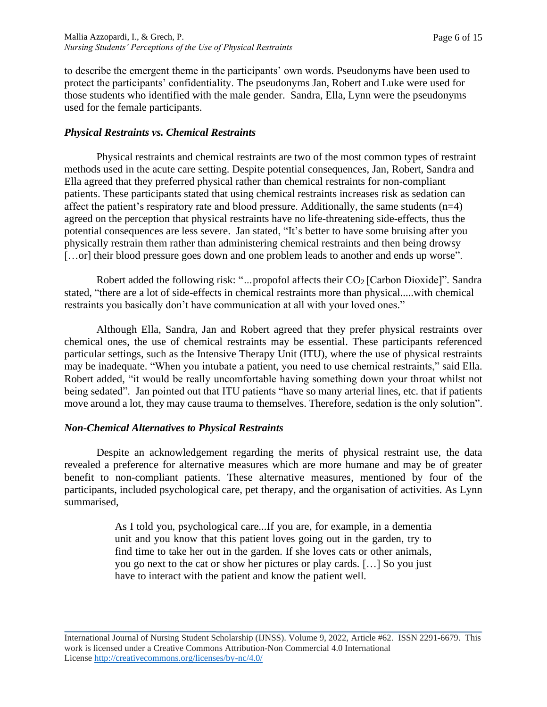to describe the emergent theme in the participants' own words. Pseudonyms have been used to protect the participants' confidentiality. The pseudonyms Jan, Robert and Luke were used for those students who identified with the male gender. Sandra, Ella, Lynn were the pseudonyms used for the female participants.

### *Physical Restraints vs. Chemical Restraints*

Physical restraints and chemical restraints are two of the most common types of restraint methods used in the acute care setting. Despite potential consequences, Jan, Robert, Sandra and Ella agreed that they preferred physical rather than chemical restraints for non-compliant patients. These participants stated that using chemical restraints increases risk as sedation can affect the patient's respiratory rate and blood pressure. Additionally, the same students  $(n=4)$ agreed on the perception that physical restraints have no life-threatening side-effects, thus the potential consequences are less severe. Jan stated, "It's better to have some bruising after you physically restrain them rather than administering chemical restraints and then being drowsy [...or] their blood pressure goes down and one problem leads to another and ends up worse".

Robert added the following risk: "...propofol affects their CO<sub>2</sub> [Carbon Dioxide]". Sandra stated, "there are a lot of side-effects in chemical restraints more than physical.....with chemical restraints you basically don't have communication at all with your loved ones."

Although Ella, Sandra, Jan and Robert agreed that they prefer physical restraints over chemical ones, the use of chemical restraints may be essential. These participants referenced particular settings, such as the Intensive Therapy Unit (ITU), where the use of physical restraints may be inadequate. "When you intubate a patient, you need to use chemical restraints," said Ella. Robert added, "it would be really uncomfortable having something down your throat whilst not being sedated". Jan pointed out that ITU patients "have so many arterial lines, etc. that if patients move around a lot, they may cause trauma to themselves. Therefore, sedation is the only solution".

### *Non-Chemical Alternatives to Physical Restraints*

Despite an acknowledgement regarding the merits of physical restraint use, the data revealed a preference for alternative measures which are more humane and may be of greater benefit to non-compliant patients. These alternative measures, mentioned by four of the participants, included psychological care, pet therapy, and the organisation of activities. As Lynn summarised,

> As I told you, psychological care...If you are, for example, in a dementia unit and you know that this patient loves going out in the garden, try to find time to take her out in the garden. If she loves cats or other animals, you go next to the cat or show her pictures or play cards. […] So you just have to interact with the patient and know the patient well.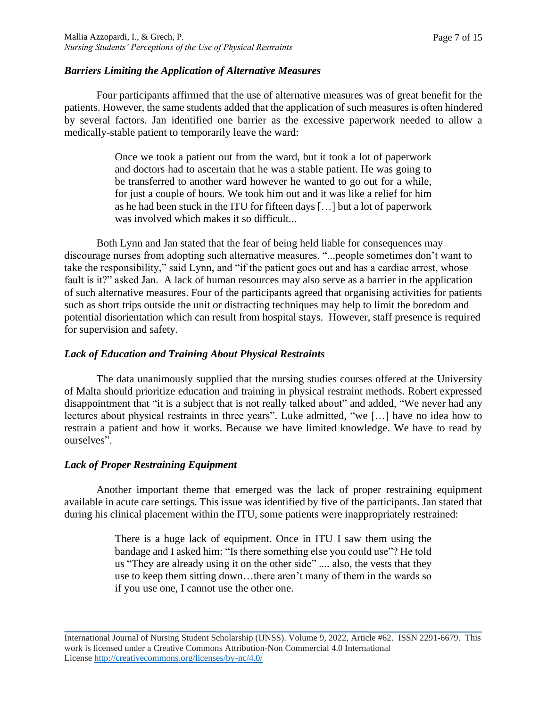### *Barriers Limiting the Application of Alternative Measures*

Four participants affirmed that the use of alternative measures was of great benefit for the patients. However, the same students added that the application of such measures is often hindered by several factors. Jan identified one barrier as the excessive paperwork needed to allow a medically-stable patient to temporarily leave the ward:

> Once we took a patient out from the ward, but it took a lot of paperwork and doctors had to ascertain that he was a stable patient. He was going to be transferred to another ward however he wanted to go out for a while, for just a couple of hours. We took him out and it was like a relief for him as he had been stuck in the ITU for fifteen days […] but a lot of paperwork was involved which makes it so difficult...

Both Lynn and Jan stated that the fear of being held liable for consequences may discourage nurses from adopting such alternative measures. "...people sometimes don't want to take the responsibility," said Lynn, and "if the patient goes out and has a cardiac arrest, whose fault is it?" asked Jan. A lack of human resources may also serve as a barrier in the application of such alternative measures. Four of the participants agreed that organising activities for patients such as short trips outside the unit or distracting techniques may help to limit the boredom and potential disorientation which can result from hospital stays. However, staff presence is required for supervision and safety.

### *Lack of Education and Training About Physical Restraints*

The data unanimously supplied that the nursing studies courses offered at the University of Malta should prioritize education and training in physical restraint methods. Robert expressed disappointment that "it is a subject that is not really talked about" and added, "We never had any lectures about physical restraints in three years". Luke admitted, "we […] have no idea how to restrain a patient and how it works. Because we have limited knowledge. We have to read by ourselves".

### *Lack of Proper Restraining Equipment*

Another important theme that emerged was the lack of proper restraining equipment available in acute care settings. This issue was identified by five of the participants. Jan stated that during his clinical placement within the ITU, some patients were inappropriately restrained:

> There is a huge lack of equipment. Once in ITU I saw them using the bandage and I asked him: "Is there something else you could use"? He told us "They are already using it on the other side" .... also, the vests that they use to keep them sitting down…there aren't many of them in the wards so if you use one, I cannot use the other one.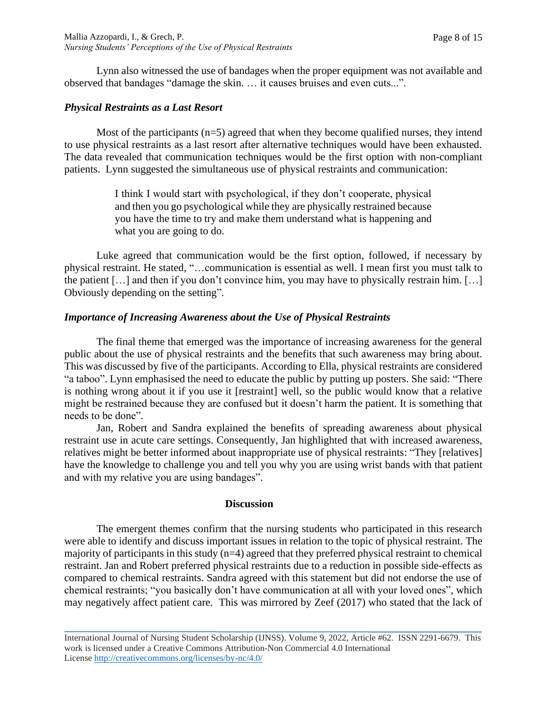Lynn also witnessed the use of bandages when the proper equipment was not available and observed that bandages "damage the skin. … it causes bruises and even cuts...".

### *Physical Restraints as a Last Resort*

Most of the participants  $(n=5)$  agreed that when they become qualified nurses, they intend to use physical restraints as a last resort after alternative techniques would have been exhausted. The data revealed that communication techniques would be the first option with non-compliant patients. Lynn suggested the simultaneous use of physical restraints and communication:

> I think I would start with psychological, if they don't cooperate, physical and then you go psychological while they are physically restrained because you have the time to try and make them understand what is happening and what you are going to do.

Luke agreed that communication would be the first option, followed, if necessary by physical restraint. He stated, "…communication is essential as well. I mean first you must talk to the patient […] and then if you don't convince him, you may have to physically restrain him. […] Obviously depending on the setting".

### *Importance of Increasing Awareness about the Use of Physical Restraints*

The final theme that emerged was the importance of increasing awareness for the general public about the use of physical restraints and the benefits that such awareness may bring about. This was discussed by five of the participants. According to Ella, physical restraints are considered "a taboo". Lynn emphasised the need to educate the public by putting up posters. She said: "There is nothing wrong about it if you use it [restraint] well, so the public would know that a relative might be restrained because they are confused but it doesn't harm the patient. It is something that needs to be done".

Jan, Robert and Sandra explained the benefits of spreading awareness about physical restraint use in acute care settings. Consequently, Jan highlighted that with increased awareness, relatives might be better informed about inappropriate use of physical restraints: "They [relatives] have the knowledge to challenge you and tell you why you are using wrist bands with that patient and with my relative you are using bandages".

#### **Discussion**

The emergent themes confirm that the nursing students who participated in this research were able to identify and discuss important issues in relation to the topic of physical restraint. The majority of participants in this study  $(n=4)$  agreed that they preferred physical restraint to chemical restraint. Jan and Robert preferred physical restraints due to a reduction in possible side-effects as compared to chemical restraints. Sandra agreed with this statement but did not endorse the use of chemical restraints; "you basically don't have communication at all with your loved ones", which may negatively affect patient care. This was mirrored by Zeef (2017) who stated that the lack of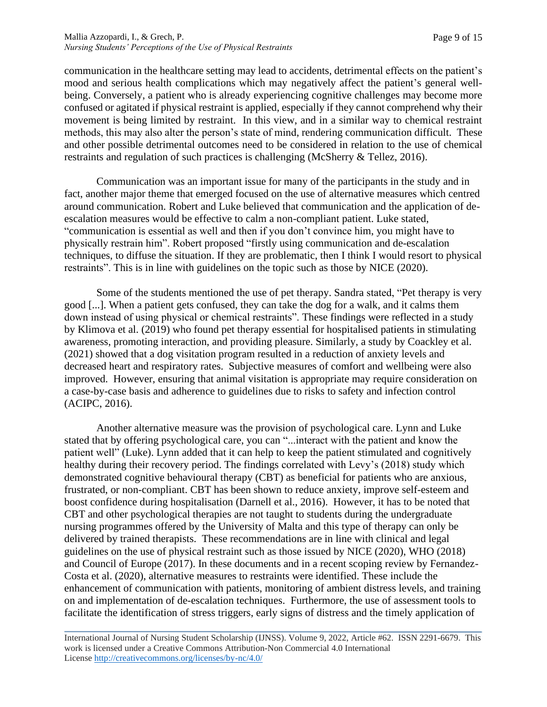communication in the healthcare setting may lead to accidents, detrimental effects on the patient's mood and serious health complications which may negatively affect the patient's general wellbeing. Conversely, a patient who is already experiencing cognitive challenges may become more confused or agitated if physical restraint is applied, especially if they cannot comprehend why their movement is being limited by restraint. In this view, and in a similar way to chemical restraint methods, this may also alter the person's state of mind, rendering communication difficult. These and other possible detrimental outcomes need to be considered in relation to the use of chemical restraints and regulation of such practices is challenging (McSherry & Tellez, 2016).

Communication was an important issue for many of the participants in the study and in fact, another major theme that emerged focused on the use of alternative measures which centred around communication. Robert and Luke believed that communication and the application of deescalation measures would be effective to calm a non-compliant patient. Luke stated, "communication is essential as well and then if you don't convince him, you might have to physically restrain him". Robert proposed "firstly using communication and de-escalation techniques, to diffuse the situation. If they are problematic, then I think I would resort to physical restraints". This is in line with guidelines on the topic such as those by NICE (2020).

Some of the students mentioned the use of pet therapy. Sandra stated, "Pet therapy is very good [...]. When a patient gets confused, they can take the dog for a walk, and it calms them down instead of using physical or chemical restraints". These findings were reflected in a study by Klimova et al. (2019) who found pet therapy essential for hospitalised patients in stimulating awareness, promoting interaction, and providing pleasure. Similarly, a study by Coackley et al. (2021) showed that a dog visitation program resulted in a reduction of anxiety levels and decreased heart and respiratory rates. Subjective measures of comfort and wellbeing were also improved. However, ensuring that animal visitation is appropriate may require consideration on a case-by-case basis and adherence to guidelines due to risks to safety and infection control (ACIPC, 2016).

Another alternative measure was the provision of psychological care. Lynn and Luke stated that by offering psychological care, you can "...interact with the patient and know the patient well" (Luke). Lynn added that it can help to keep the patient stimulated and cognitively healthy during their recovery period. The findings correlated with Levy's (2018) study which demonstrated cognitive behavioural therapy (CBT) as beneficial for patients who are anxious, frustrated, or non-compliant. CBT has been shown to reduce anxiety, improve self-esteem and boost confidence during hospitalisation (Darnell et al., 2016). However, it has to be noted that CBT and other psychological therapies are not taught to students during the undergraduate nursing programmes offered by the University of Malta and this type of therapy can only be delivered by trained therapists. These recommendations are in line with clinical and legal guidelines on the use of physical restraint such as those issued by NICE (2020), WHO (2018) and Council of Europe (2017). In these documents and in a recent scoping review by Fernandez-Costa et al. (2020), alternative measures to restraints were identified. These include the enhancement of communication with patients, monitoring of ambient distress levels, and training on and implementation of de-escalation techniques. Furthermore, the use of assessment tools to facilitate the identification of stress triggers, early signs of distress and the timely application of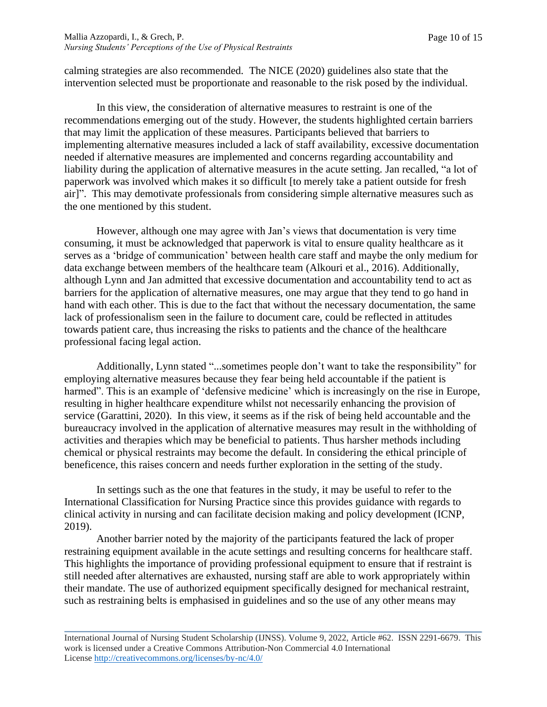calming strategies are also recommended. The NICE (2020) guidelines also state that the intervention selected must be proportionate and reasonable to the risk posed by the individual.

In this view, the consideration of alternative measures to restraint is one of the recommendations emerging out of the study. However, the students highlighted certain barriers that may limit the application of these measures. Participants believed that barriers to implementing alternative measures included a lack of staff availability, excessive documentation needed if alternative measures are implemented and concerns regarding accountability and liability during the application of alternative measures in the acute setting. Jan recalled, "a lot of paperwork was involved which makes it so difficult [to merely take a patient outside for fresh air]". This may demotivate professionals from considering simple alternative measures such as the one mentioned by this student.

However, although one may agree with Jan's views that documentation is very time consuming, it must be acknowledged that paperwork is vital to ensure quality healthcare as it serves as a 'bridge of communication' between health care staff and maybe the only medium for data exchange between members of the healthcare team (Alkouri et al., 2016). Additionally, although Lynn and Jan admitted that excessive documentation and accountability tend to act as barriers for the application of alternative measures, one may argue that they tend to go hand in hand with each other. This is due to the fact that without the necessary documentation, the same lack of professionalism seen in the failure to document care, could be reflected in attitudes towards patient care, thus increasing the risks to patients and the chance of the healthcare professional facing legal action.

Additionally, Lynn stated "...sometimes people don't want to take the responsibility" for employing alternative measures because they fear being held accountable if the patient is harmed". This is an example of 'defensive medicine' which is increasingly on the rise in Europe, resulting in higher healthcare expenditure whilst not necessarily enhancing the provision of service (Garattini, 2020). In this view, it seems as if the risk of being held accountable and the bureaucracy involved in the application of alternative measures may result in the withholding of activities and therapies which may be beneficial to patients. Thus harsher methods including chemical or physical restraints may become the default. In considering the ethical principle of beneficence, this raises concern and needs further exploration in the setting of the study.

In settings such as the one that features in the study, it may be useful to refer to the International Classification for Nursing Practice since this provides guidance with regards to clinical activity in nursing and can facilitate decision making and policy development (ICNP, 2019).

Another barrier noted by the majority of the participants featured the lack of proper restraining equipment available in the acute settings and resulting concerns for healthcare staff. This highlights the importance of providing professional equipment to ensure that if restraint is still needed after alternatives are exhausted, nursing staff are able to work appropriately within their mandate. The use of authorized equipment specifically designed for mechanical restraint, such as restraining belts is emphasised in guidelines and so the use of any other means may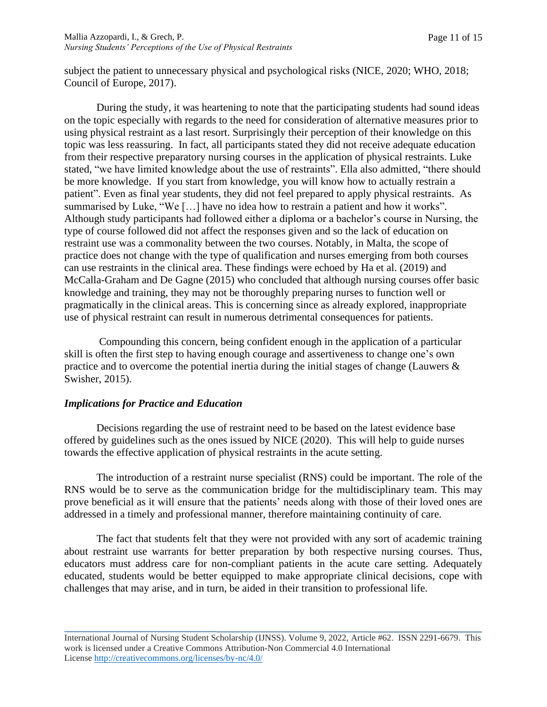subject the patient to unnecessary physical and psychological risks (NICE, 2020; WHO, 2018; Council of Europe, 2017).

During the study, it was heartening to note that the participating students had sound ideas on the topic especially with regards to the need for consideration of alternative measures prior to using physical restraint as a last resort. Surprisingly their perception of their knowledge on this topic was less reassuring. In fact, all participants stated they did not receive adequate education from their respective preparatory nursing courses in the application of physical restraints. Luke stated, "we have limited knowledge about the use of restraints". Ella also admitted, "there should be more knowledge. If you start from knowledge, you will know how to actually restrain a patient". Even as final year students, they did not feel prepared to apply physical restraints. As summarised by Luke, "We […] have no idea how to restrain a patient and how it works". Although study participants had followed either a diploma or a bachelor's course in Nursing, the type of course followed did not affect the responses given and so the lack of education on restraint use was a commonality between the two courses. Notably, in Malta, the scope of practice does not change with the type of qualification and nurses emerging from both courses can use restraints in the clinical area. These findings were echoed by Ha et al. (2019) and McCalla-Graham and De Gagne (2015) who concluded that although nursing courses offer basic knowledge and training, they may not be thoroughly preparing nurses to function well or pragmatically in the clinical areas. This is concerning since as already explored, inappropriate use of physical restraint can result in numerous detrimental consequences for patients.

Compounding this concern, being confident enough in the application of a particular skill is often the first step to having enough courage and assertiveness to change one's own practice and to overcome the potential inertia during the initial stages of change (Lauwers & Swisher, 2015).

### *Implications for Practice and Education*

Decisions regarding the use of restraint need to be based on the latest evidence base offered by guidelines such as the ones issued by NICE (2020). This will help to guide nurses towards the effective application of physical restraints in the acute setting.

The introduction of a restraint nurse specialist (RNS) could be important. The role of the RNS would be to serve as the communication bridge for the multidisciplinary team. This may prove beneficial as it will ensure that the patients' needs along with those of their loved ones are addressed in a timely and professional manner, therefore maintaining continuity of care.

The fact that students felt that they were not provided with any sort of academic training about restraint use warrants for better preparation by both respective nursing courses. Thus, educators must address care for non-compliant patients in the acute care setting. Adequately educated, students would be better equipped to make appropriate clinical decisions, cope with challenges that may arise, and in turn, be aided in their transition to professional life.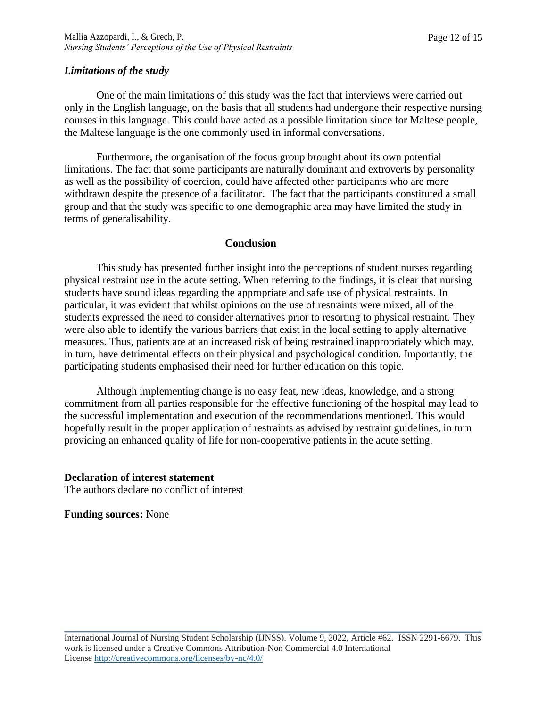### *Limitations of the study*

One of the main limitations of this study was the fact that interviews were carried out only in the English language, on the basis that all students had undergone their respective nursing courses in this language. This could have acted as a possible limitation since for Maltese people, the Maltese language is the one commonly used in informal conversations.

Furthermore, the organisation of the focus group brought about its own potential limitations. The fact that some participants are naturally dominant and extroverts by personality as well as the possibility of coercion, could have affected other participants who are more withdrawn despite the presence of a facilitator. The fact that the participants constituted a small group and that the study was specific to one demographic area may have limited the study in terms of generalisability.

#### **Conclusion**

This study has presented further insight into the perceptions of student nurses regarding physical restraint use in the acute setting. When referring to the findings, it is clear that nursing students have sound ideas regarding the appropriate and safe use of physical restraints. In particular, it was evident that whilst opinions on the use of restraints were mixed, all of the students expressed the need to consider alternatives prior to resorting to physical restraint. They were also able to identify the various barriers that exist in the local setting to apply alternative measures. Thus, patients are at an increased risk of being restrained inappropriately which may, in turn, have detrimental effects on their physical and psychological condition. Importantly, the participating students emphasised their need for further education on this topic.

Although implementing change is no easy feat, new ideas, knowledge, and a strong commitment from all parties responsible for the effective functioning of the hospital may lead to the successful implementation and execution of the recommendations mentioned. This would hopefully result in the proper application of restraints as advised by restraint guidelines, in turn providing an enhanced quality of life for non-cooperative patients in the acute setting.

#### **Declaration of interest statement**

The authors declare no conflict of interest

**Funding sources:** None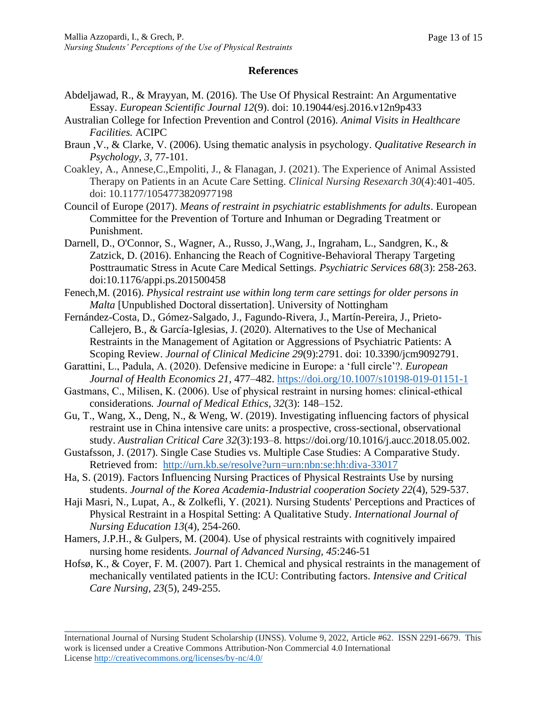### **References**

- Abdeljawad, R., & Mrayyan, M. (2016). The Use Of Physical Restraint: An Argumentative Essay. *European Scientific Journal 12*(9). doi: 10.19044/esj.2016.v12n9p433
- Australian College for Infection Prevention and Control (2016). *Animal Visits in Healthcare Facilities.* ACIPC
- Braun ,V., & Clarke, V. (2006). Using thematic analysis in psychology. *Qualitative Research in Psychology, 3*, 77-101.
- Coakley, A., Annese,C.,Empoliti, J., & Flanagan, J. (2021). The Experience of Animal Assisted Therapy on Patients in an Acute Care Setting. *Clinical Nursing Resexarch 30*(4):401-405. doi: 10.1177/1054773820977198
- Council of Europe (2017). *Means of restraint in psychiatric establishments for adults*. European Committee for the Prevention of Torture and Inhuman or Degrading Treatment or Punishment.
- Darnell, D., O'Connor, S., Wagner, A., Russo, J.,Wang, J., Ingraham, L., Sandgren, K., & Zatzick, D. (2016). Enhancing the Reach of Cognitive-Behavioral Therapy Targeting Posttraumatic Stress in Acute Care Medical Settings. *Psychiatric Services 68*(3): 258-263. doi:10.1176/appi.ps.201500458
- Fenech,M. (2016). *Physical restraint use within long term care settings for older persons in Malta* [Unpublished Doctoral dissertation]. University of Nottingham
- Fernández-Costa, D., Gómez-Salgado, J., Fagundo-Rivera, J., Martín-Pereira, J., Prieto-Callejero, B., & García-Iglesias, J. (2020). Alternatives to the Use of Mechanical Restraints in the Management of Agitation or Aggressions of Psychiatric Patients: A Scoping Review. *Journal of Clinical Medicine 29*(9):2791. doi: 10.3390/jcm9092791.
- Garattini, L., Padula, A. (2020). Defensive medicine in Europe: a 'full circle'?. *European Journal of Health Economics 21*, 477–482.<https://doi.org/10.1007/s10198-019-01151-1>
- Gastmans, C., Milisen, K. (2006). Use of physical restraint in nursing homes: clinical‐ethical considerations*. Journal of Medical Ethics, 32*(3): 148–152.
- Gu, T., Wang, X., Deng, N., & Weng, W. (2019). Investigating influencing factors of physical restraint use in China intensive care units: a prospective, cross-sectional, observational study. *Australian Critical Care 32*(3):193–8. https://doi.org/10.1016/j.aucc.2018.05.002.
- Gustafsson, J. (2017). Single Case Studies vs. Multiple Case Studies: A Comparative Study. Retrieved from: <http://urn.kb.se/resolve?urn=urn:nbn:se:hh:diva-33017>
- Ha, S. (2019). Factors Influencing Nursing Practices of Physical Restraints Use by nursing students. *Journal of the Korea Academia-Industrial cooperation Society 22*(4), 529-537.
- Haji Masri, N., Lupat, A., & Zolkefli, Y. (2021). Nursing Students' Perceptions and Practices of Physical Restraint in a Hospital Setting: A Qualitative Study. *International Journal of Nursing Education 13*(4), 254-260.
- Hamers, J.P.H., & Gulpers, M. (2004). Use of physical restraints with cognitively impaired nursing home residents. *Journal of Advanced Nursing, 45*:246-51
- Hofsø, K., & Coyer, F. M. (2007). Part 1. Chemical and physical restraints in the management of mechanically ventilated patients in the ICU: Contributing factors. *Intensive and Critical Care Nursing, 23*(5), 249-255.

International Journal of Nursing Student Scholarship (IJNSS). Volume 9, 2022, Article #62. ISSN 2291-6679. This work is licensed under a Creative Commons Attribution-Non Commercial 4.0 International License [http://creativecommons.org/licenses/by-nc/4.0/](https://urldefense.proofpoint.com/v2/url?u=http-3A__creativecommons.org_licenses_by-2Dnc_4.0_&d=DwMFAg&c=C3yme8gMkxg_ihJNXS06ZyWk4EJm8LdrrvxQb-Je7sw&r=8b6GROYZXbFqdnpbAq4emg&m=oGpEEVr1F9YarocTQoJseiZkIfC-A0sLDiSZX_VZBfc&s=grAi3qopNfvXMgosttjjJJ_3FK0L7FQD61t5XWmX4V4&e=)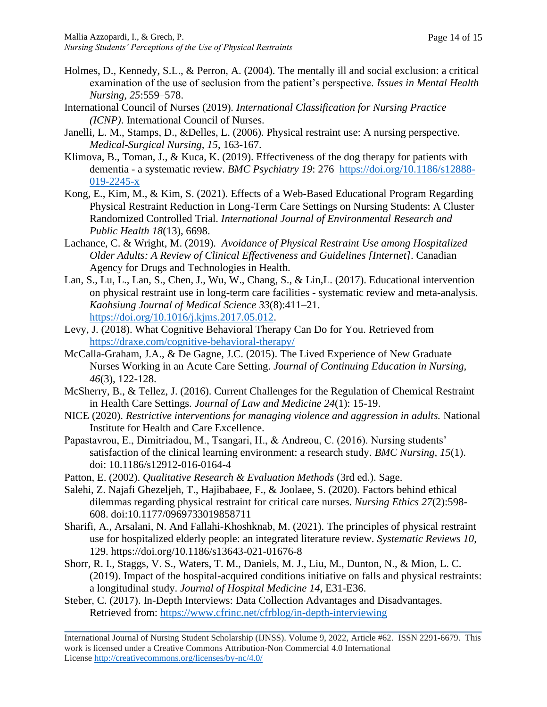- Holmes, D., Kennedy, S.L., & Perron, A. (2004). The mentally ill and social exclusion: a critical examination of the use of seclusion from the patient's perspective. *Issues in Mental Health Nursing, 25*:559–578.
- International Council of Nurses (2019). *International Classification for Nursing Practice (ICNP)*. International Council of Nurses.
- Janelli, L. M., Stamps, D., &Delles, L. (2006). Physical restraint use: A nursing perspective. *Medical-Surgical Nursing, 15*, 163-167.
- Klimova, B., Toman, J., & Kuca, K. (2019). Effectiveness of the dog therapy for patients with dementia - a systematic review. *BMC Psychiatry 19*: 276 [https://doi.org/10.1186/s12888-](https://doi.org/10.1186/s12888-019-2245-x) [019-2245-x](https://doi.org/10.1186/s12888-019-2245-x)
- Kong, E., Kim, M., & Kim, S. (2021). Effects of a Web-Based Educational Program Regarding Physical Restraint Reduction in Long-Term Care Settings on Nursing Students: A Cluster Randomized Controlled Trial. *International Journal of Environmental Research and Public Health 18*(13), 6698.
- Lachance, C. & Wright, M. (2019). *Avoidance of Physical Restraint Use among Hospitalized Older Adults: A Review of Clinical Effectiveness and Guidelines [Internet]*. Canadian Agency for Drugs and Technologies in Health.
- Lan, S., Lu, L., Lan, S., Chen, J., Wu, W., Chang, S., & Lin,L. (2017). Educational intervention on physical restraint use in long-term care facilities - systematic review and meta-analysis. *Kaohsiung Journal of Medical Science 33*(8):411–21. [https://doi.org/10.1016/j.kjms.2017.05.012.](https://doi.org/10.1016/j.kjms.2017.05.012)
- Levy, J. (2018). What Cognitive Behavioral Therapy Can Do for You. Retrieved from <https://draxe.com/cognitive-behavioral-therapy/>
- McCalla-Graham, J.A., & De Gagne, J.C. (2015). The Lived Experience of New Graduate Nurses Working in an Acute Care Setting. *Journal of Continuing Education in Nursing, 46*(3), 122-128.
- McSherry, B., & Tellez, J. (2016). Current Challenges for the Regulation of Chemical Restraint in Health Care Settings. *Journal of Law and Medicine 24*(1): 15-19.
- NICE (2020). *Restrictive interventions for managing violence and aggression in adults.* National Institute for Health and Care Excellence.
- Papastavrou, E., Dimitriadou, M., Tsangari, H., & Andreou, C. (2016). Nursing students' satisfaction of the clinical learning environment: a research study. *BMC Nursing, 15*(1). doi: 10.1186/s12912-016-0164-4
- Patton, E. (2002). *Qualitative Research & Evaluation Methods* (3rd ed.). Sage.
- Salehi, Z. Najafi Ghezeljeh, T., Hajibabaee, F., & Joolaee, S. (2020). Factors behind ethical dilemmas regarding physical restraint for critical care nurses. *Nursing Ethics 27*(2):598- 608. doi:10.1177/0969733019858711
- Sharifi, A., Arsalani, N. And Fallahi-Khoshknab, M. (2021). The principles of physical restraint use for hospitalized elderly people: an integrated literature review. *Systematic Reviews 10*, 129. https://doi.org/10.1186/s13643-021-01676-8
- Shorr, R. I., Staggs, V. S., Waters, T. M., Daniels, M. J., Liu, M., Dunton, N., & Mion, L. C. (2019). Impact of the hospital-acquired conditions initiative on falls and physical restraints: a longitudinal study. *Journal of Hospital Medicine 14*, E31-E36.
- Steber, C. (2017). In-Depth Interviews: Data Collection Advantages and Disadvantages. Retrieved from:<https://www.cfrinc.net/cfrblog/in-depth-interviewing>

International Journal of Nursing Student Scholarship (IJNSS). Volume 9, 2022, Article #62. ISSN 2291-6679. This work is licensed under a Creative Commons Attribution-Non Commercial 4.0 International License [http://creativecommons.org/licenses/by-nc/4.0/](https://urldefense.proofpoint.com/v2/url?u=http-3A__creativecommons.org_licenses_by-2Dnc_4.0_&d=DwMFAg&c=C3yme8gMkxg_ihJNXS06ZyWk4EJm8LdrrvxQb-Je7sw&r=8b6GROYZXbFqdnpbAq4emg&m=oGpEEVr1F9YarocTQoJseiZkIfC-A0sLDiSZX_VZBfc&s=grAi3qopNfvXMgosttjjJJ_3FK0L7FQD61t5XWmX4V4&e=)